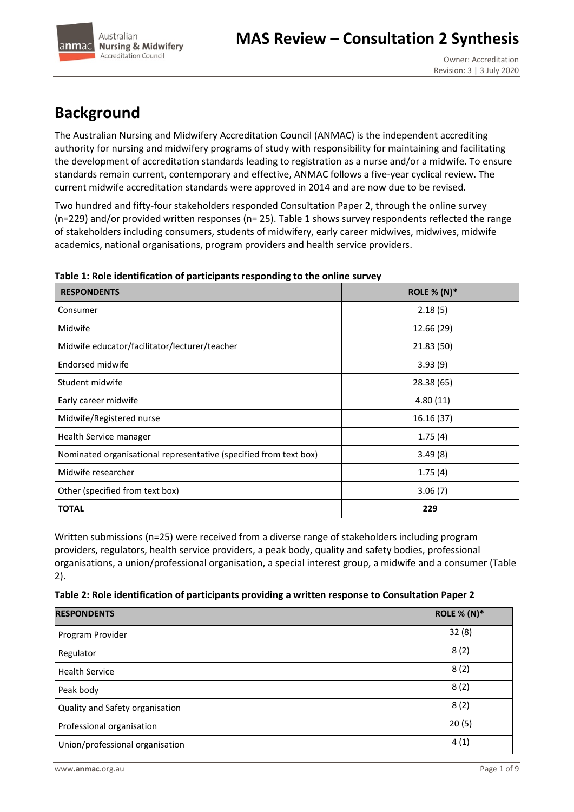

# **Background**

The Australian Nursing and Midwifery Accreditation Council (ANMAC) is the independent accrediting authority for nursing and midwifery programs of study with responsibility for maintaining and facilitating the development of accreditation standards leading to registration as a nurse and/or a midwife. To ensure standards remain current, contemporary and effective, ANMAC follows a five-year cyclical review. The current midwife accreditation standards were approved in 2014 and are now due to be revised.

Two hundred and fifty-four stakeholders responded Consultation Paper 2, through the online survey (n=229) and/or provided written responses (n= 25). Table 1 shows survey respondents reflected the range of stakeholders including consumers, students of midwifery, early career midwives, midwives, midwife academics, national organisations, program providers and health service providers.

| <b>RESPONDENTS</b>                                                | <b>ROLE % (N)*</b> |
|-------------------------------------------------------------------|--------------------|
| Consumer                                                          | 2.18(5)            |
| Midwife                                                           | 12.66 (29)         |
| Midwife educator/facilitator/lecturer/teacher                     | 21.83 (50)         |
| Endorsed midwife                                                  | 3.93(9)            |
| Student midwife                                                   | 28.38 (65)         |
| Early career midwife                                              | 4.80(11)           |
| Midwife/Registered nurse                                          | 16.16 (37)         |
| Health Service manager                                            | 1.75(4)            |
| Nominated organisational representative (specified from text box) | 3.49(8)            |
| Midwife researcher                                                | 1.75(4)            |
| Other (specified from text box)                                   | 3.06(7)            |
| <b>TOTAL</b>                                                      | 229                |

## **Table 1: Role identification of participants responding to the online survey**

Written submissions (n=25) were received from a diverse range of stakeholders including program providers, regulators, health service providers, a peak body, quality and safety bodies, professional organisations, a union/professional organisation, a special interest group, a midwife and a consumer (Table 2).

|  |  | Table 2: Role identification of participants providing a written response to Consultation Paper 2 |
|--|--|---------------------------------------------------------------------------------------------------|
|--|--|---------------------------------------------------------------------------------------------------|

| <b>RESPONDENTS</b>              | <b>ROLE % (N)*</b> |
|---------------------------------|--------------------|
| Program Provider                | 32(8)              |
| Regulator                       | 8(2)               |
| <b>Health Service</b>           | 8(2)               |
| Peak body                       | 8(2)               |
| Quality and Safety organisation | 8(2)               |
| Professional organisation       | 20(5)              |
| Union/professional organisation | 4(1)               |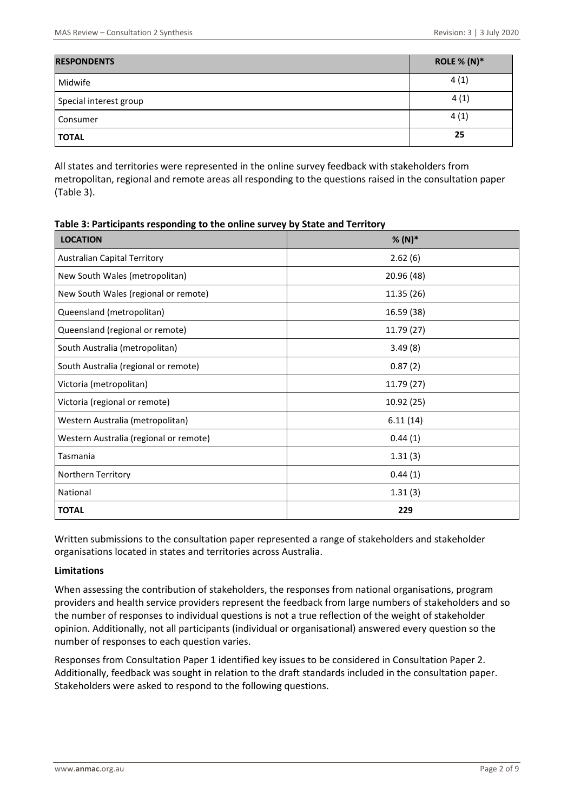| <b>RESPONDENTS</b>     | ROLE % $(N)^*$ |
|------------------------|----------------|
| Midwife                | 4(1)           |
| Special interest group | 4(1)           |
| Consumer               | 4(1)           |
| <b>TOTAL</b>           | 25             |

All states and territories were represented in the online survey feedback with stakeholders from metropolitan, regional and remote areas all responding to the questions raised in the consultation paper (Table 3).

| Table 3: Participants responding to the online survey by State and Territory |  |
|------------------------------------------------------------------------------|--|
|------------------------------------------------------------------------------|--|

| <b>LOCATION</b>                        | $% (N)*$   |
|----------------------------------------|------------|
| <b>Australian Capital Territory</b>    | 2.62(6)    |
| New South Wales (metropolitan)         | 20.96 (48) |
| New South Wales (regional or remote)   | 11.35(26)  |
| Queensland (metropolitan)              | 16.59 (38) |
| Queensland (regional or remote)        | 11.79 (27) |
| South Australia (metropolitan)         | 3.49(8)    |
| South Australia (regional or remote)   | 0.87(2)    |
| Victoria (metropolitan)                | 11.79 (27) |
| Victoria (regional or remote)          | 10.92 (25) |
| Western Australia (metropolitan)       | 6.11(14)   |
| Western Australia (regional or remote) | 0.44(1)    |
| Tasmania                               | 1.31(3)    |
| Northern Territory                     | 0.44(1)    |
| National                               | 1.31(3)    |
| <b>TOTAL</b>                           | 229        |

Written submissions to the consultation paper represented a range of stakeholders and stakeholder organisations located in states and territories across Australia.

#### **Limitations**

When assessing the contribution of stakeholders, the responses from national organisations, program providers and health service providers represent the feedback from large numbers of stakeholders and so the number of responses to individual questions is not a true reflection of the weight of stakeholder opinion. Additionally, not all participants (individual or organisational) answered every question so the number of responses to each question varies.

Responses from Consultation Paper 1 identified key issues to be considered in Consultation Paper 2. Additionally, feedback was sought in relation to the draft standards included in the consultation paper. Stakeholders were asked to respond to the following questions.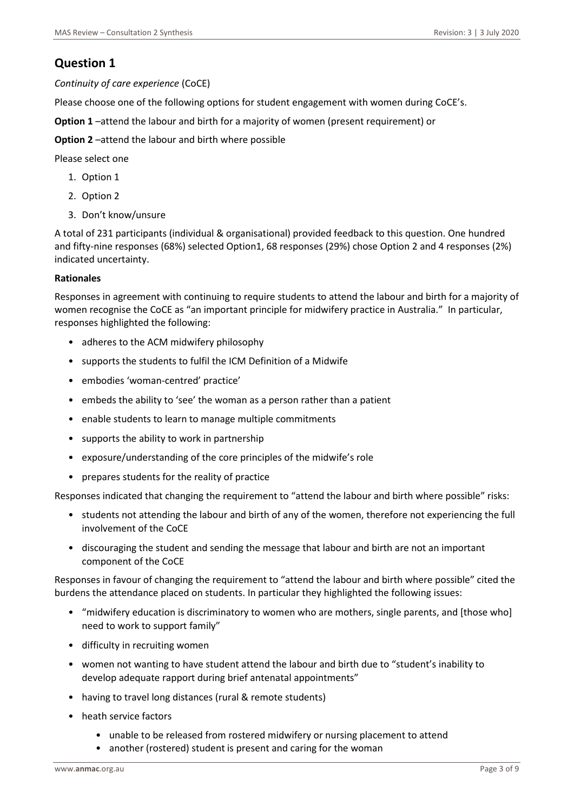## **Question 1**

*Continuity of care experience* (CoCE)

Please choose one of the following options for student engagement with women during CoCE's.

**Option 1** –attend the labour and birth for a majority of women (present requirement) or

**Option 2** –attend the labour and birth where possible

Please select one

- 1. Option 1
- 2. Option 2
- 3. Don't know/unsure

A total of 231 participants (individual & organisational) provided feedback to this question. One hundred and fifty-nine responses (68%) selected Option1, 68 responses (29%) chose Option 2 and 4 responses (2%) indicated uncertainty.

#### **Rationales**

Responses in agreement with continuing to require students to attend the labour and birth for a majority of women recognise the CoCE as "an important principle for midwifery practice in Australia." In particular, responses highlighted the following:

- adheres to the ACM midwifery philosophy
- supports the students to fulfil the ICM Definition of a Midwife
- embodies 'woman-centred' practice'
- embeds the ability to 'see' the woman as a person rather than a patient
- enable students to learn to manage multiple commitments
- supports the ability to work in partnership
- exposure/understanding of the core principles of the midwife's role
- prepares students for the reality of practice

Responses indicated that changing the requirement to "attend the labour and birth where possible" risks:

- students not attending the labour and birth of any of the women, therefore not experiencing the full involvement of the CoCE
- discouraging the student and sending the message that labour and birth are not an important component of the CoCE

Responses in favour of changing the requirement to "attend the labour and birth where possible" cited the burdens the attendance placed on students. In particular they highlighted the following issues:

- "midwifery education is discriminatory to women who are mothers, single parents, and [those who] need to work to support family"
- difficulty in recruiting women
- women not wanting to have student attend the labour and birth due to "student's inability to develop adequate rapport during brief antenatal appointments"
- having to travel long distances (rural & remote students)
- heath service factors
	- unable to be released from rostered midwifery or nursing placement to attend
	- another (rostered) student is present and caring for the woman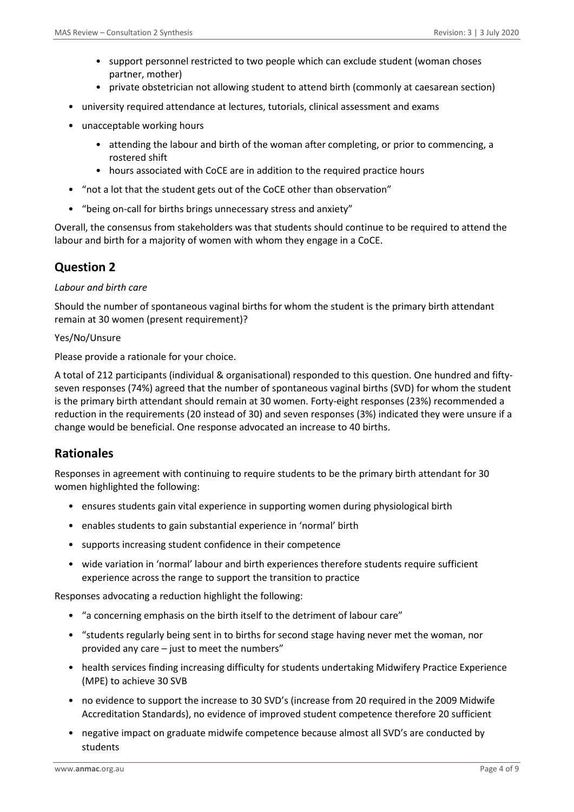- support personnel restricted to two people which can exclude student (woman choses partner, mother)
- private obstetrician not allowing student to attend birth (commonly at caesarean section)
- university required attendance at lectures, tutorials, clinical assessment and exams
- unacceptable working hours
	- attending the labour and birth of the woman after completing, or prior to commencing, a rostered shift
	- hours associated with CoCE are in addition to the required practice hours
- "not a lot that the student gets out of the CoCE other than observation"
- "being on-call for births brings unnecessary stress and anxiety"

Overall, the consensus from stakeholders was that students should continue to be required to attend the labour and birth for a majority of women with whom they engage in a CoCE.

## **Question 2**

#### *Labour and birth care*

Should the number of spontaneous vaginal births for whom the student is the primary birth attendant remain at 30 women (present requirement)?

#### Yes/No/Unsure

Please provide a rationale for your choice.

A total of 212 participants (individual & organisational) responded to this question. One hundred and fiftyseven responses (74%) agreed that the number of spontaneous vaginal births (SVD) for whom the student is the primary birth attendant should remain at 30 women. Forty-eight responses (23%) recommended a reduction in the requirements (20 instead of 30) and seven responses (3%) indicated they were unsure if a change would be beneficial. One response advocated an increase to 40 births.

## **Rationales**

Responses in agreement with continuing to require students to be the primary birth attendant for 30 women highlighted the following:

- ensures students gain vital experience in supporting women during physiological birth
- enables students to gain substantial experience in 'normal' birth
- supports increasing student confidence in their competence
- wide variation in 'normal' labour and birth experiences therefore students require sufficient experience across the range to support the transition to practice

Responses advocating a reduction highlight the following:

- "a concerning emphasis on the birth itself to the detriment of labour care"
- "students regularly being sent in to births for second stage having never met the woman, nor provided any care – just to meet the numbers"
- health services finding increasing difficulty for students undertaking Midwifery Practice Experience (MPE) to achieve 30 SVB
- no evidence to support the increase to 30 SVD's (increase from 20 required in the 2009 Midwife Accreditation Standards), no evidence of improved student competence therefore 20 sufficient
- negative impact on graduate midwife competence because almost all SVD's are conducted by students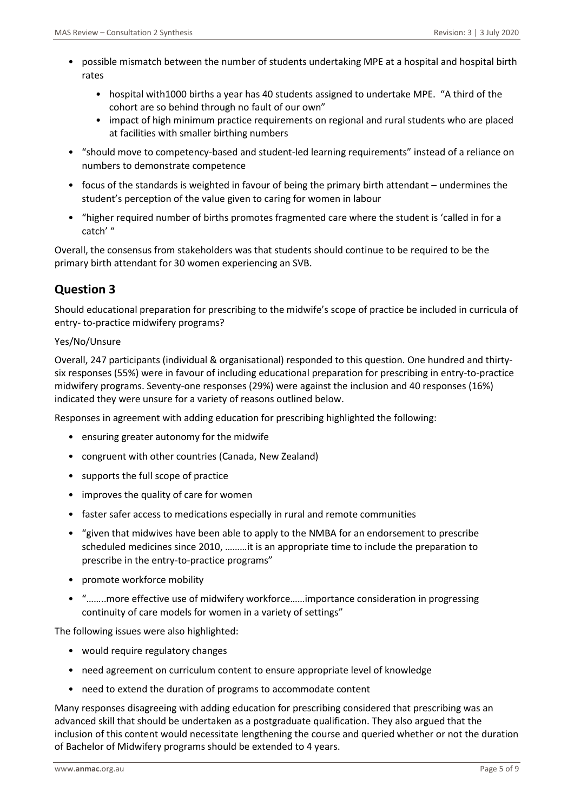- possible mismatch between the number of students undertaking MPE at a hospital and hospital birth rates
	- hospital with1000 births a year has 40 students assigned to undertake MPE. "A third of the cohort are so behind through no fault of our own"
	- impact of high minimum practice requirements on regional and rural students who are placed at facilities with smaller birthing numbers
- "should move to competency-based and student-led learning requirements" instead of a reliance on numbers to demonstrate competence
- focus of the standards is weighted in favour of being the primary birth attendant undermines the student's perception of the value given to caring for women in labour
- "higher required number of births promotes fragmented care where the student is 'called in for a catch' "

Overall, the consensus from stakeholders was that students should continue to be required to be the primary birth attendant for 30 women experiencing an SVB.

# **Question 3**

Should educational preparation for prescribing to the midwife's scope of practice be included in curricula of entry- to-practice midwifery programs?

## Yes/No/Unsure

Overall, 247 participants (individual & organisational) responded to this question. One hundred and thirtysix responses (55%) were in favour of including educational preparation for prescribing in entry-to-practice midwifery programs. Seventy-one responses (29%) were against the inclusion and 40 responses (16%) indicated they were unsure for a variety of reasons outlined below.

Responses in agreement with adding education for prescribing highlighted the following:

- ensuring greater autonomy for the midwife
- congruent with other countries (Canada, New Zealand)
- supports the full scope of practice
- improves the quality of care for women
- faster safer access to medications especially in rural and remote communities
- "given that midwives have been able to apply to the NMBA for an endorsement to prescribe scheduled medicines since 2010, ………it is an appropriate time to include the preparation to prescribe in the entry-to-practice programs"
- promote workforce mobility
- "……..more effective use of midwifery workforce……importance consideration in progressing continuity of care models for women in a variety of settings"

The following issues were also highlighted:

- would require regulatory changes
- need agreement on curriculum content to ensure appropriate level of knowledge
- need to extend the duration of programs to accommodate content

Many responses disagreeing with adding education for prescribing considered that prescribing was an advanced skill that should be undertaken as a postgraduate qualification. They also argued that the inclusion of this content would necessitate lengthening the course and queried whether or not the duration of Bachelor of Midwifery programs should be extended to 4 years.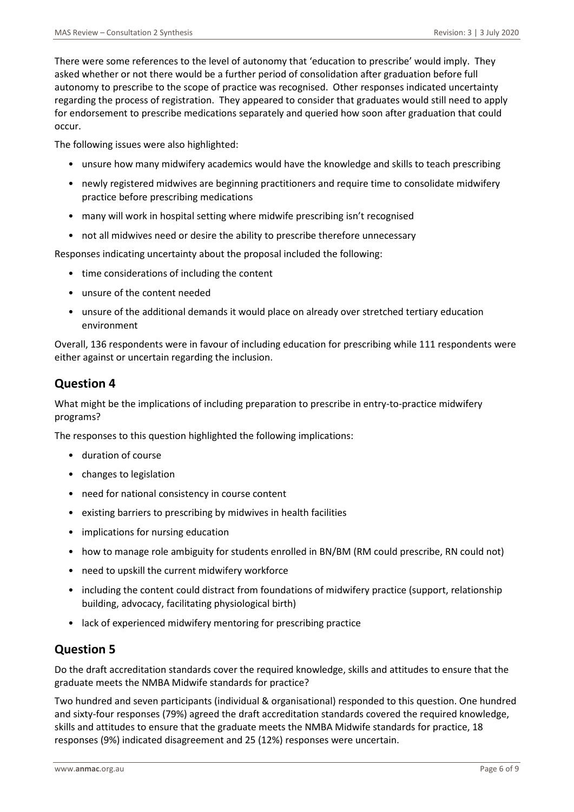There were some references to the level of autonomy that 'education to prescribe' would imply. They asked whether or not there would be a further period of consolidation after graduation before full autonomy to prescribe to the scope of practice was recognised. Other responses indicated uncertainty regarding the process of registration. They appeared to consider that graduates would still need to apply for endorsement to prescribe medications separately and queried how soon after graduation that could occur.

The following issues were also highlighted:

- unsure how many midwifery academics would have the knowledge and skills to teach prescribing
- newly registered midwives are beginning practitioners and require time to consolidate midwifery practice before prescribing medications
- many will work in hospital setting where midwife prescribing isn't recognised
- not all midwives need or desire the ability to prescribe therefore unnecessary

Responses indicating uncertainty about the proposal included the following:

- time considerations of including the content
- unsure of the content needed
- unsure of the additional demands it would place on already over stretched tertiary education environment

Overall, 136 respondents were in favour of including education for prescribing while 111 respondents were either against or uncertain regarding the inclusion.

# **Question 4**

What might be the implications of including preparation to prescribe in entry-to-practice midwifery programs?

The responses to this question highlighted the following implications:

- duration of course
- changes to legislation
- need for national consistency in course content
- existing barriers to prescribing by midwives in health facilities
- implications for nursing education
- how to manage role ambiguity for students enrolled in BN/BM (RM could prescribe, RN could not)
- need to upskill the current midwifery workforce
- including the content could distract from foundations of midwifery practice (support, relationship building, advocacy, facilitating physiological birth)
- lack of experienced midwifery mentoring for prescribing practice

# **Question 5**

Do the draft accreditation standards cover the required knowledge, skills and attitudes to ensure that the graduate meets the NMBA Midwife standards for practice?

Two hundred and seven participants (individual & organisational) responded to this question. One hundred and sixty-four responses (79%) agreed the draft accreditation standards covered the required knowledge, skills and attitudes to ensure that the graduate meets the NMBA Midwife standards for practice, 18 responses (9%) indicated disagreement and 25 (12%) responses were uncertain.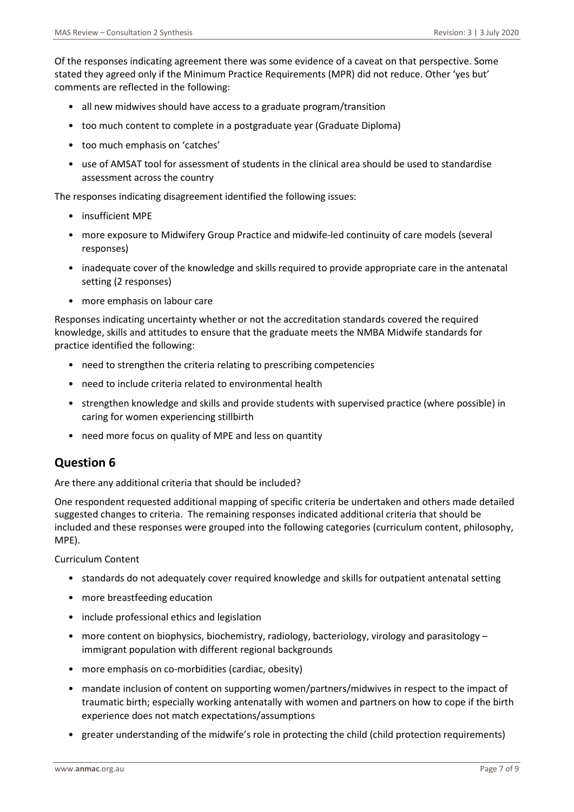Of the responses indicating agreement there was some evidence of a caveat on that perspective. Some stated they agreed only if the Minimum Practice Requirements (MPR) did not reduce. Other 'yes but' comments are reflected in the following:

- all new midwives should have access to a graduate program/transition
- too much content to complete in a postgraduate year (Graduate Diploma)
- too much emphasis on 'catches'
- use of AMSAT tool for assessment of students in the clinical area should be used to standardise assessment across the country

The responses indicating disagreement identified the following issues:

- insufficient MPE
- more exposure to Midwifery Group Practice and midwife-led continuity of care models (several responses)
- inadequate cover of the knowledge and skills required to provide appropriate care in the antenatal setting (2 responses)
- more emphasis on labour care

Responses indicating uncertainty whether or not the accreditation standards covered the required knowledge, skills and attitudes to ensure that the graduate meets the NMBA Midwife standards for practice identified the following:

- need to strengthen the criteria relating to prescribing competencies
- need to include criteria related to environmental health
- strengthen knowledge and skills and provide students with supervised practice (where possible) in caring for women experiencing stillbirth
- need more focus on quality of MPE and less on quantity

# **Question 6**

Are there any additional criteria that should be included?

One respondent requested additional mapping of specific criteria be undertaken and others made detailed suggested changes to criteria. The remaining responses indicated additional criteria that should be included and these responses were grouped into the following categories (curriculum content, philosophy, MPE).

Curriculum Content

- standards do not adequately cover required knowledge and skills for outpatient antenatal setting
- more breastfeeding education
- include professional ethics and legislation
- more content on biophysics, biochemistry, radiology, bacteriology, virology and parasitology immigrant population with different regional backgrounds
- more emphasis on co-morbidities (cardiac, obesity)
- mandate inclusion of content on supporting women/partners/midwives in respect to the impact of traumatic birth; especially working antenatally with women and partners on how to cope if the birth experience does not match expectations/assumptions
- greater understanding of the midwife's role in protecting the child (child protection requirements)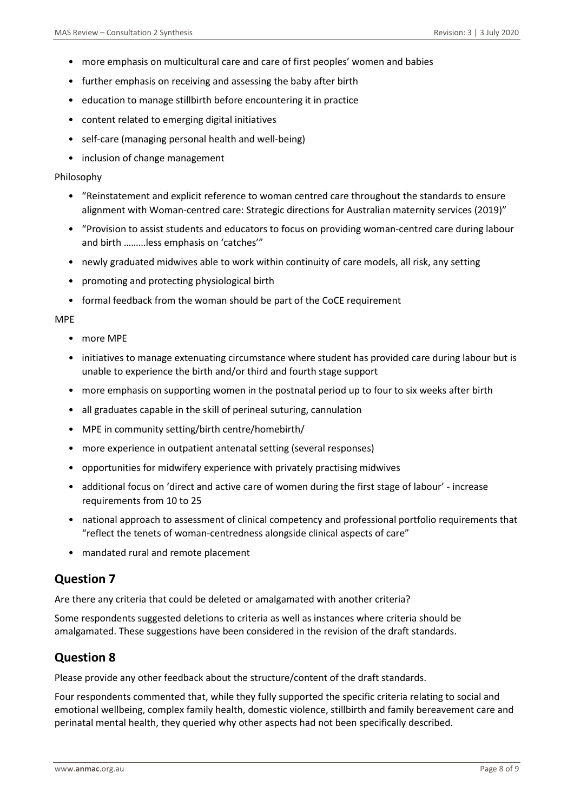- more emphasis on multicultural care and care of first peoples' women and babies
- further emphasis on receiving and assessing the baby after birth
- education to manage stillbirth before encountering it in practice
- content related to emerging digital initiatives
- self-care (managing personal health and well-being)
- inclusion of change management

#### Philosophy

- "Reinstatement and explicit reference to woman centred care throughout the standards to ensure alignment with Woman-centred care: Strategic directions for Australian maternity services (2019)"
- "Provision to assist students and educators to focus on providing woman-centred care during labour and birth ………less emphasis on 'catches'"
- newly graduated midwives able to work within continuity of care models, all risk, any setting
- promoting and protecting physiological birth
- formal feedback from the woman should be part of the CoCE requirement

#### MPE

- more MPE
- initiatives to manage extenuating circumstance where student has provided care during labour but is unable to experience the birth and/or third and fourth stage support
- more emphasis on supporting women in the postnatal period up to four to six weeks after birth
- all graduates capable in the skill of perineal suturing, cannulation
- MPE in community setting/birth centre/homebirth/
- more experience in outpatient antenatal setting (several responses)
- opportunities for midwifery experience with privately practising midwives
- additional focus on 'direct and active care of women during the first stage of labour' increase requirements from 10 to 25
- national approach to assessment of clinical competency and professional portfolio requirements that "reflect the tenets of woman-centredness alongside clinical aspects of care"
- mandated rural and remote placement

## **Question 7**

Are there any criteria that could be deleted or amalgamated with another criteria?

Some respondents suggested deletions to criteria as well as instances where criteria should be amalgamated. These suggestions have been considered in the revision of the draft standards.

## **Question 8**

Please provide any other feedback about the structure/content of the draft standards.

Four respondents commented that, while they fully supported the specific criteria relating to social and emotional wellbeing, complex family health, domestic violence, stillbirth and family bereavement care and perinatal mental health, they queried why other aspects had not been specifically described.